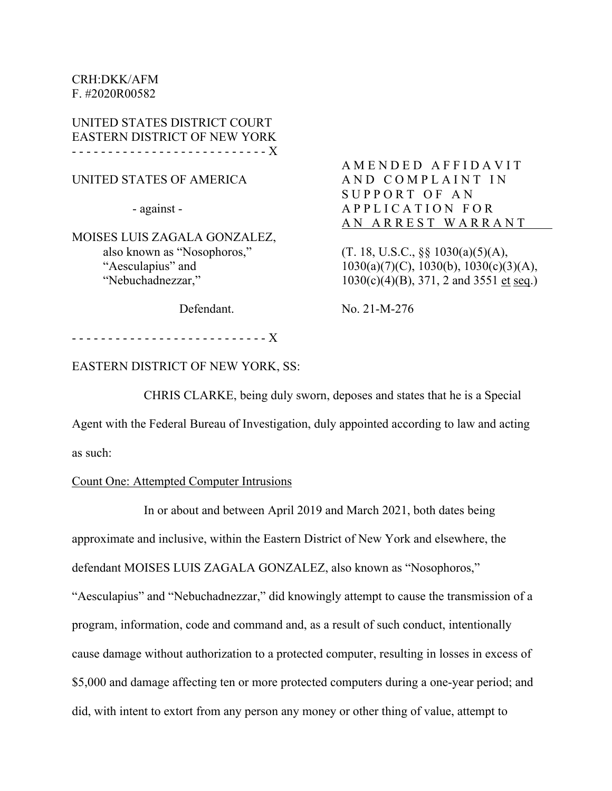CRH:DKK/AFM F. #2020R00582

UNITED STATES DISTRICT COURT EASTERN DISTRICT OF NEW YORK - - - - - - - - - - - - - - - - - - - - - - - - - - - X

UNITED STATES OF AMERICA

- against -

MOISES LUIS ZAGALA GONZALEZ, also known as "Nosophoros," "Aesculapius" and "Nebuchadnezzar,"

AMENDED AFFIDAVIT AND COMPLAINT IN SUPPORT OF AN APPLICATION FOR AN ARREST WARRANT

 $(T. 18, U.S.C., \S_{S} 1030(a)(5)(A),$  $1030(a)(7)(C)$ ,  $1030(b)$ ,  $1030(c)(3)(A)$ , 1030(c)(4)(B), 371, 2 and 3551 et seq.)

Defendant.

No. 21-M-276

- - - - - - - - - - - - - - - - - - - - - - - - - - - X

EASTERN DISTRICT OF NEW YORK, SS:

CHRIS CLARKE, being duly sworn, deposes and states that he is a Special

Agent with the Federal Bureau of Investigation, duly appointed according to law and acting

as such:

#### Count One: Attempted Computer Intrusions

In or about and between April 2019 and March 2021, both dates being

approximate and inclusive, within the Eastern District of New York and elsewhere, the

defendant MOISES LUIS ZAGALA GONZALEZ, also known as "Nosophoros,"

"Aesculapius" and "Nebuchadnezzar," did knowingly attempt to cause the transmission of a program, information, code and command and, as a result of such conduct, intentionally cause damage without authorization to a protected computer, resulting in losses in excess of \$5,000 and damage affecting ten or more protected computers during a one-year period; and did, with intent to extort from any person any money or other thing of value, attempt to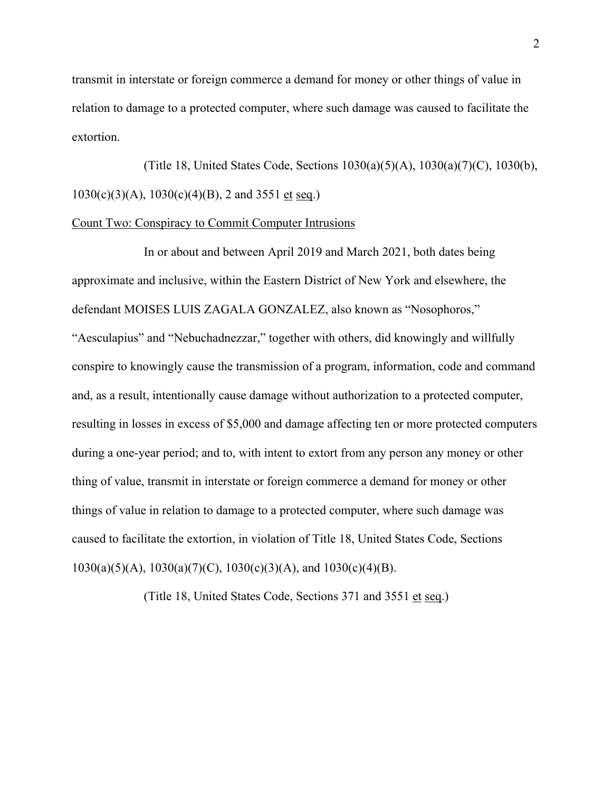transmit in interstate or foreign commerce a demand for money or other things of value in relation to damage to a protected computer, where such damage was caused to facilitate the extortion.

 (Title 18, United States Code, Sections 1030(a)(5)(A), 1030(a)(7)(C), 1030(b),  $1030(c)(3)(A), 1030(c)(4)(B), 2$  and 3551 et seq.)

#### Count Two: Conspiracy to Commit Computer Intrusions

In or about and between April 2019 and March 2021, both dates being approximate and inclusive, within the Eastern District of New York and elsewhere, the defendant MOISES LUIS ZAGALA GONZALEZ, also known as "Nosophoros," "Aesculapius" and "Nebuchadnezzar," together with others, did knowingly and willfully conspire to knowingly cause the transmission of a program, information, code and command and, as a result, intentionally cause damage without authorization to a protected computer, resulting in losses in excess of \$5,000 and damage affecting ten or more protected computers during a one-year period; and to, with intent to extort from any person any money or other thing of value, transmit in interstate or foreign commerce a demand for money or other things of value in relation to damage to a protected computer, where such damage was caused to facilitate the extortion, in violation of Title 18, United States Code, Sections  $1030(a)(5)(A)$ ,  $1030(a)(7)(C)$ ,  $1030(c)(3)(A)$ , and  $1030(c)(4)(B)$ .

(Title 18, United States Code, Sections 371 and 3551 et seq.)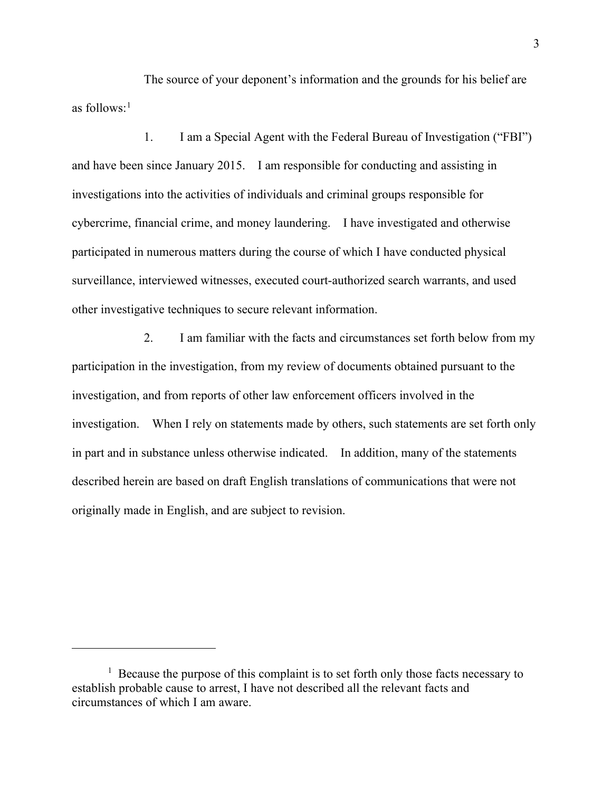The source of your deponent's information and the grounds for his belief are as follows: $<sup>1</sup>$  $<sup>1</sup>$  $<sup>1</sup>$ </sup>

1. I am a Special Agent with the Federal Bureau of Investigation ("FBI") and have been since January 2015. I am responsible for conducting and assisting in investigations into the activities of individuals and criminal groups responsible for cybercrime, financial crime, and money laundering. I have investigated and otherwise participated in numerous matters during the course of which I have conducted physical surveillance, interviewed witnesses, executed court-authorized search warrants, and used other investigative techniques to secure relevant information.

2. I am familiar with the facts and circumstances set forth below from my participation in the investigation, from my review of documents obtained pursuant to the investigation, and from reports of other law enforcement officers involved in the investigation. When I rely on statements made by others, such statements are set forth only in part and in substance unless otherwise indicated. In addition, many of the statements described herein are based on draft English translations of communications that were not originally made in English, and are subject to revision.

<span id="page-2-0"></span> $<sup>1</sup>$  Because the purpose of this complaint is to set forth only those facts necessary to</sup> establish probable cause to arrest, I have not described all the relevant facts and circumstances of which I am aware.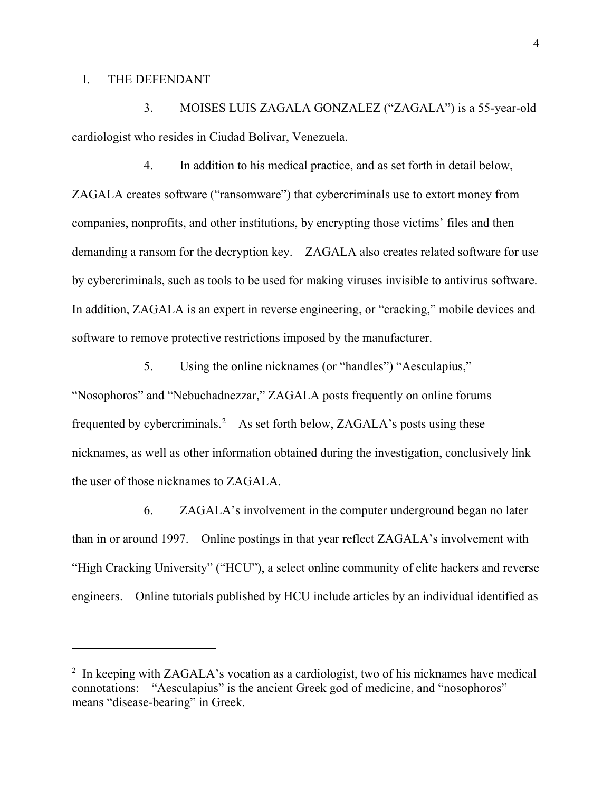#### I. THE DEFENDANT

3. MOISES LUIS ZAGALA GONZALEZ ("ZAGALA") is a 55-year-old cardiologist who resides in Ciudad Bolivar, Venezuela.

4. In addition to his medical practice, and as set forth in detail below, ZAGALA creates software ("ransomware") that cybercriminals use to extort money from companies, nonprofits, and other institutions, by encrypting those victims' files and then demanding a ransom for the decryption key. ZAGALA also creates related software for use by cybercriminals, such as tools to be used for making viruses invisible to antivirus software. In addition, ZAGALA is an expert in reverse engineering, or "cracking," mobile devices and software to remove protective restrictions imposed by the manufacturer.

5. Using the online nicknames (or "handles") "Aesculapius," "Nosophoros" and "Nebuchadnezzar," ZAGALA posts frequently on online forums frequented by cybercriminals.<sup>[2](#page-3-0)</sup> As set forth below, ZAGALA's posts using these nicknames, as well as other information obtained during the investigation, conclusively link the user of those nicknames to ZAGALA.

6. ZAGALA's involvement in the computer underground began no later than in or around 1997. Online postings in that year reflect ZAGALA's involvement with "High Cracking University" ("HCU"), a select online community of elite hackers and reverse engineers. Online tutorials published by HCU include articles by an individual identified as

<span id="page-3-0"></span><sup>&</sup>lt;sup>2</sup> In keeping with ZAGALA's vocation as a cardiologist, two of his nicknames have medical connotations: "Aesculapius" is the ancient Greek god of medicine, and "nosophoros" means "disease-bearing" in Greek.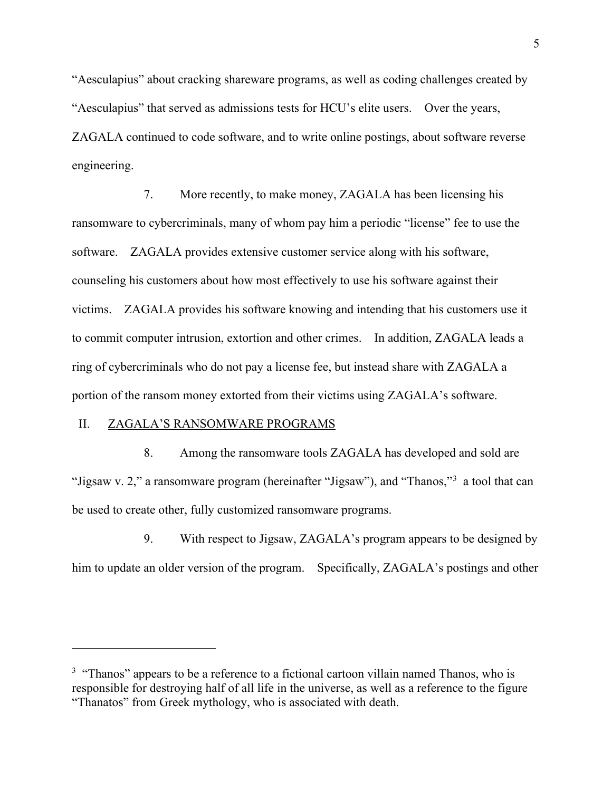"Aesculapius" about cracking shareware programs, as well as coding challenges created by "Aesculapius" that served as admissions tests for HCU's elite users. Over the years, ZAGALA continued to code software, and to write online postings, about software reverse engineering.

7. More recently, to make money, ZAGALA has been licensing his ransomware to cybercriminals, many of whom pay him a periodic "license" fee to use the software. ZAGALA provides extensive customer service along with his software, counseling his customers about how most effectively to use his software against their victims. ZAGALA provides his software knowing and intending that his customers use it to commit computer intrusion, extortion and other crimes. In addition, ZAGALA leads a ring of cybercriminals who do not pay a license fee, but instead share with ZAGALA a portion of the ransom money extorted from their victims using ZAGALA's software.

### II. ZAGALA'S RANSOMWARE PROGRAMS

8. Among the ransomware tools ZAGALA has developed and sold are "Jigsaw v. 2," a ransomware program (hereinafter "Jigsaw"), and "Thanos,"[3](#page-4-0) a tool that can be used to create other, fully customized ransomware programs.

9. With respect to Jigsaw, ZAGALA's program appears to be designed by him to update an older version of the program. Specifically, ZAGALA's postings and other

<span id="page-4-0"></span> $3$  "Thanos" appears to be a reference to a fictional cartoon villain named Thanos, who is responsible for destroying half of all life in the universe, as well as a reference to the figure "Thanatos" from Greek mythology, who is associated with death.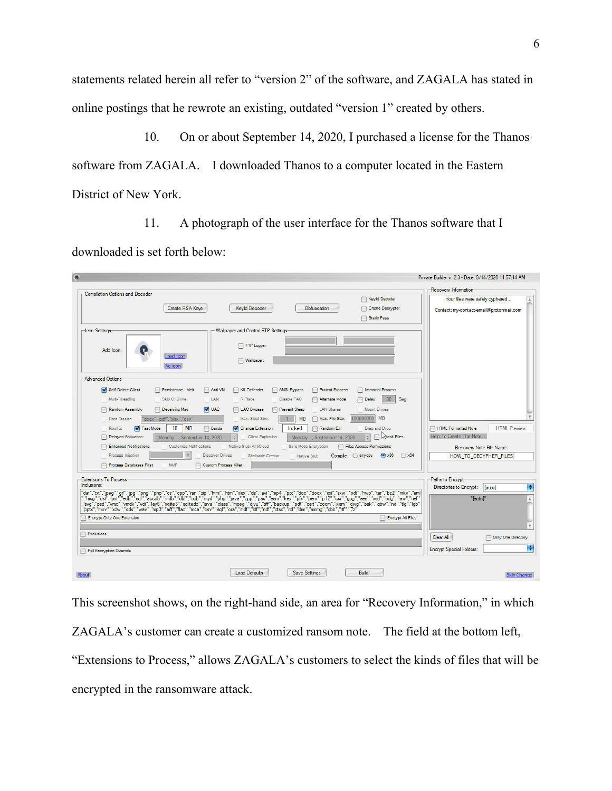statements related herein all refer to "version 2" of the software, and ZAGALA has stated in online postings that he rewrote an existing, outdated "version 1" created by others.

10. On or about September 14, 2020, I purchased a license for the Thanos software from ZAGALA. I downloaded Thanos to a computer located in the Eastern District of New York.

11. A photograph of the user interface for the Thanos software that I downloaded is set forth below:

|                                                                                                                                                                                            |                                                                                                                                                                                                                                                                                                                                                     | <b>Recovery Information</b>                                                   |
|--------------------------------------------------------------------------------------------------------------------------------------------------------------------------------------------|-----------------------------------------------------------------------------------------------------------------------------------------------------------------------------------------------------------------------------------------------------------------------------------------------------------------------------------------------------|-------------------------------------------------------------------------------|
| Compilation Options and Decoder<br>Create RSA Kevs                                                                                                                                         | Keyld Decoder<br><b>Kevid Decoder</b><br>Obfuscation<br>Create Decryptor<br>Static Pass                                                                                                                                                                                                                                                             | Your files were safely cyphered<br>Contact: my-contact-email@protonmail.com   |
| -Icon Settings<br>Add Icon:<br>Load Icon<br>No icon                                                                                                                                        | Wallpaper and Control FTP Settings-<br>FTP Logger:<br>Wallpaper:                                                                                                                                                                                                                                                                                    |                                                                               |
| -Advanced Options<br>Self-Delete Client<br>Persistence - Melt<br>∩<br>Multi-Threading<br>Skip C: Drive                                                                                     | Anti-VM<br>AMSI Bypass<br>Protect Process<br>Immortal Process<br>Kill Defender<br>30 <sup>°</sup><br>LAN<br>Sea<br>RIPlace<br>Disable FAC<br>Alternate Mode<br><b>Delay</b>                                                                                                                                                                         |                                                                               |
| Random Assembly<br>Deceiving Msg<br>'docx","pdf","xlsx","csv"<br>Data Stealer:<br><b>MB</b><br>10 <sup>10</sup><br>RootKit<br><b>V</b> Fast Mode                                           | <b>V</b> UAC<br>UAC Bypass<br>Prevent Sleep<br><b>LAN Shares</b><br><b>Mount Drives</b><br><b>MB</b><br>10000000<br>Max. Steal Size:<br><b>MB</b><br>Max. File Size:<br><b>Bands</b><br>Change Extension:<br>locked<br>Random Ext<br>Drag and Drop                                                                                                  | <b>HTML Preview</b><br><b>HTML Formatted Note</b>                             |
| <b>Delayed Activation:</b><br>Monday , September 14, 2020<br><b>Enhanced Notifications</b><br><b>Customize Notifications</b><br>Process Injection<br>Process Databases First<br><b>MMF</b> | <b>Adock Files</b><br>$\left  \frac{1}{2} \right $<br><b>Client Expiration:</b><br>Monday<br>. September 14, 2020<br>Native Stub+AntiCloud<br>Safe Mode Encryption<br>Files Access Permissions<br>$\bigodot$ x86<br><b>Discover Drives</b><br>$\bigcirc$ x64<br>Compile: anycpu<br>Shellcode Creator<br>Native Stub<br><b>Custom Process Killer</b> | Help To Create The Note.<br>Recovery Note File Name:<br>HOW TO DECYPHER FILES |
| <b>Extensions To Process</b><br>Inclusions:                                                                                                                                                | "dat","bd","jpeq","gf","jpq","pnq","php","cs","cpp","rar","zip","html","htm","xlsx","xls","avi","mp4","ppt","doc","docx","sxx","sxx","sxx","odt","hwp","tar","bz2","mkv","eml<br>","msq","ost","pst","edb","sql","accdb","mdb","dbf","odb","myd","php","iava","cpp","pas","asm","key","pfx","pem","p12","csr","qqq","aes","vsd","odq","raw","nef"   | Paths to Encrypt<br>Directories to Encrypt:<br>lautol<br>"[auto]"             |
| Encrypt Only One Extension                                                                                                                                                                 | ,"svq","psd","vmx","vmdk","vdi","lay6","sqlite3","sqlitedb","java","class","mpeq","djvu","tiff","backup","pdf","cert","d6cm","xlsm","dwq","bak","qbw","nd","ltq","lqb",<br>"pptx","mov","xdw","ods","wav","mp3","aiff","flac","n4a","csv","sql","ora","mdf","ndf","ndf","dtsx","rdl","dim","mrimq","qbb","rtf","7z<br>Encrypt All Files             |                                                                               |
|                                                                                                                                                                                            |                                                                                                                                                                                                                                                                                                                                                     | Clear All<br>Only One Directory                                               |

This screenshot shows, on the right-hand side, an area for "Recovery Information," in which ZAGALA's customer can create a customized ransom note. The field at the bottom left, "Extensions to Process," allows ZAGALA's customers to select the kinds of files that will be encrypted in the ransomware attack.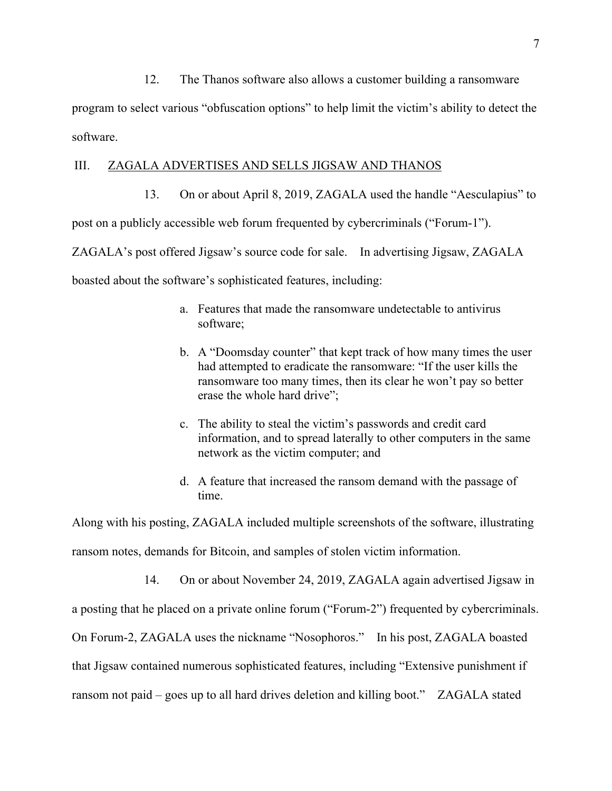12. The Thanos software also allows a customer building a ransomware

program to select various "obfuscation options" to help limit the victim's ability to detect the software.

### III. ZAGALA ADVERTISES AND SELLS JIGSAW AND THANOS

13. On or about April 8, 2019, ZAGALA used the handle "Aesculapius" to post on a publicly accessible web forum frequented by cybercriminals ("Forum-1"). ZAGALA's post offered Jigsaw's source code for sale. In advertising Jigsaw, ZAGALA boasted about the software's sophisticated features, including:

- a. Features that made the ransomware undetectable to antivirus software;
- b. A "Doomsday counter" that kept track of how many times the user had attempted to eradicate the ransomware: "If the user kills the ransomware too many times, then its clear he won't pay so better erase the whole hard drive";
- c. The ability to steal the victim's passwords and credit card information, and to spread laterally to other computers in the same network as the victim computer; and
- d. A feature that increased the ransom demand with the passage of time.

Along with his posting, ZAGALA included multiple screenshots of the software, illustrating ransom notes, demands for Bitcoin, and samples of stolen victim information.

14. On or about November 24, 2019, ZAGALA again advertised Jigsaw in

a posting that he placed on a private online forum ("Forum-2") frequented by cybercriminals.

On Forum-2, ZAGALA uses the nickname "Nosophoros." In his post, ZAGALA boasted

that Jigsaw contained numerous sophisticated features, including "Extensive punishment if

ransom not paid – goes up to all hard drives deletion and killing boot." ZAGALA stated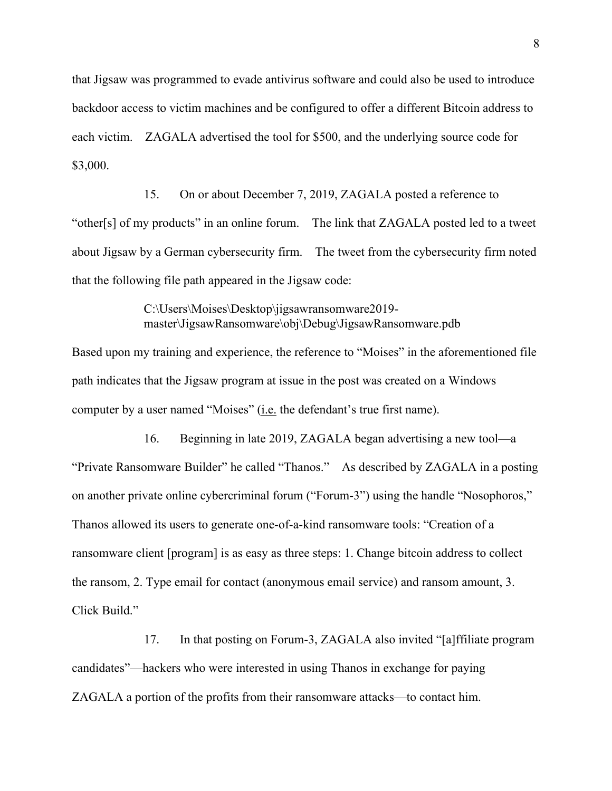that Jigsaw was programmed to evade antivirus software and could also be used to introduce backdoor access to victim machines and be configured to offer a different Bitcoin address to each victim. ZAGALA advertised the tool for \$500, and the underlying source code for \$3,000.

15. On or about December 7, 2019, ZAGALA posted a reference to "other[s] of my products" in an online forum. The link that ZAGALA posted led to a tweet about Jigsaw by a German cybersecurity firm. The tweet from the cybersecurity firm noted that the following file path appeared in the Jigsaw code:

> C:\Users\Moises\Desktop\jigsawransomware2019 master\JigsawRansomware\obj\Debug\JigsawRansomware.pdb

Based upon my training and experience, the reference to "Moises" in the aforementioned file path indicates that the Jigsaw program at issue in the post was created on a Windows computer by a user named "Moises" (i.e. the defendant's true first name).

16. Beginning in late 2019, ZAGALA began advertising a new tool—a "Private Ransomware Builder" he called "Thanos." As described by ZAGALA in a posting on another private online cybercriminal forum ("Forum-3") using the handle "Nosophoros," Thanos allowed its users to generate one-of-a-kind ransomware tools: "Creation of a ransomware client [program] is as easy as three steps: 1. Change bitcoin address to collect the ransom, 2. Type email for contact (anonymous email service) and ransom amount, 3. Click Build."

17. In that posting on Forum-3, ZAGALA also invited "[a]ffiliate program candidates"—hackers who were interested in using Thanos in exchange for paying ZAGALA a portion of the profits from their ransomware attacks—to contact him.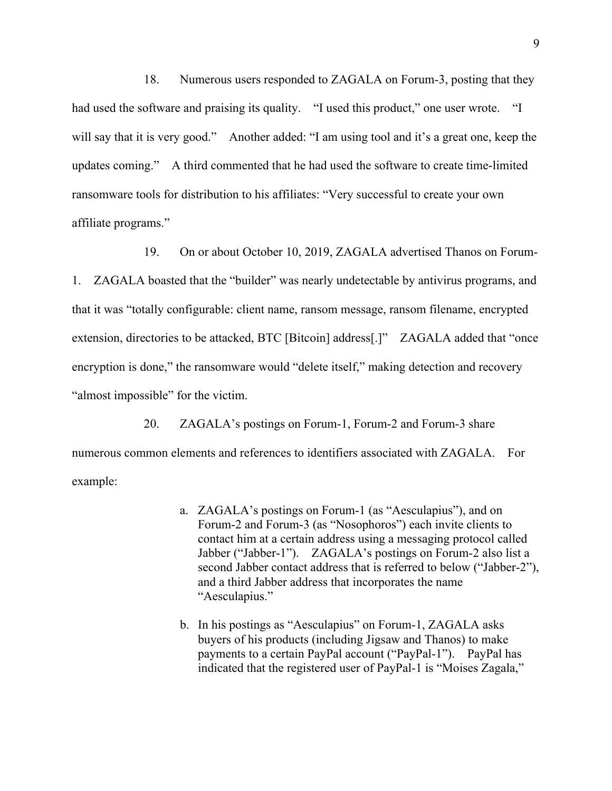18. Numerous users responded to ZAGALA on Forum-3, posting that they had used the software and praising its quality. "I used this product," one user wrote. "I will say that it is very good." Another added: "I am using tool and it's a great one, keep the updates coming." A third commented that he had used the software to create time-limited ransomware tools for distribution to his affiliates: "Very successful to create your own affiliate programs."

19. On or about October 10, 2019, ZAGALA advertised Thanos on Forum-1. ZAGALA boasted that the "builder" was nearly undetectable by antivirus programs, and that it was "totally configurable: client name, ransom message, ransom filename, encrypted extension, directories to be attacked, BTC [Bitcoin] address[.]" ZAGALA added that "once encryption is done," the ransomware would "delete itself," making detection and recovery "almost impossible" for the victim.

20. ZAGALA's postings on Forum-1, Forum-2 and Forum-3 share numerous common elements and references to identifiers associated with ZAGALA. For example:

- a. ZAGALA's postings on Forum-1 (as "Aesculapius"), and on Forum-2 and Forum-3 (as "Nosophoros") each invite clients to contact him at a certain address using a messaging protocol called Jabber ("Jabber-1"). ZAGALA's postings on Forum-2 also list a second Jabber contact address that is referred to below ("Jabber-2"), and a third Jabber address that incorporates the name "Aesculapius."
- b. In his postings as "Aesculapius" on Forum-1, ZAGALA asks buyers of his products (including Jigsaw and Thanos) to make payments to a certain PayPal account ("PayPal-1"). PayPal has indicated that the registered user of PayPal-1 is "Moises Zagala,"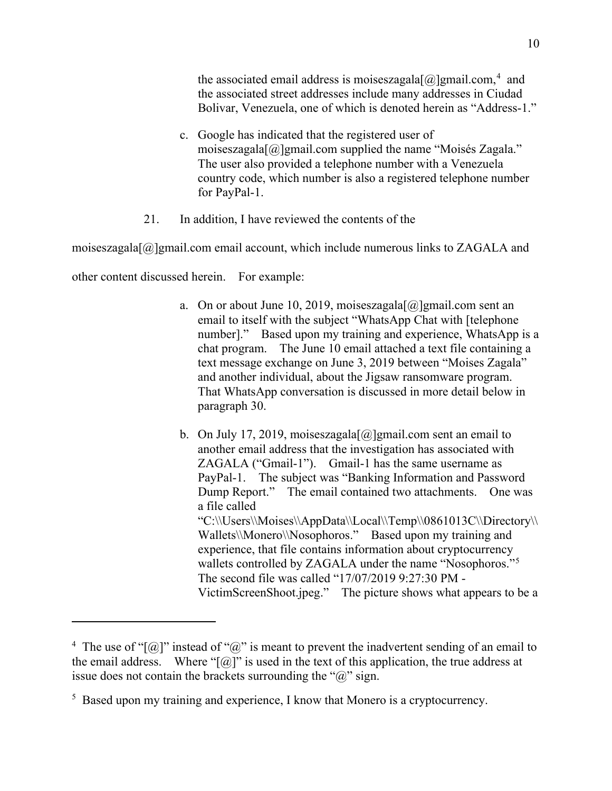the associated email address is moiseszagala $[\omega]$ gmail.com,<sup>[4](#page-9-0)</sup> and the associated street addresses include many addresses in Ciudad Bolivar, Venezuela, one of which is denoted herein as "Address-1."

- c. Google has indicated that the registered user of moiseszagala[@]gmail.com supplied the name "Moisés Zagala." The user also provided a telephone number with a Venezuela country code, which number is also a registered telephone number for PayPal-1.
- 21. In addition, I have reviewed the contents of the

moiseszagala $[@]$ gmail.com email account, which include numerous links to ZAGALA and

other content discussed herein. For example:

- a. On or about June 10, 2019, moiseszagala $[\omega]$ gmail.com sent an email to itself with the subject "WhatsApp Chat with [telephone number]." Based upon my training and experience, WhatsApp is a chat program. The June 10 email attached a text file containing a text message exchange on June 3, 2019 between "Moises Zagala" and another individual, about the Jigsaw ransomware program. That WhatsApp conversation is discussed in more detail below in paragraph 30.
- b. On July 17, 2019, moiseszagala $[\omega]$ gmail.com sent an email to another email address that the investigation has associated with ZAGALA ("Gmail-1"). Gmail-1 has the same username as PayPal-1.The subject was "Banking Information and Password Dump Report." The email contained two attachments. One was a file called "C:\\Users\\Moises\\AppData\\Local\\Temp\\0861013C\\Directory\\ Wallets\\Monero\\Nosophoros." Based upon my training and experience, that file contains information about cryptocurrency wallets controlled by ZAGALA under the name "Nosophoros."<sup>[5](#page-9-1)</sup> The second file was called "17/07/2019 9:27:30 PM - VictimScreenShoot.jpeg." The picture shows what appears to be a

<span id="page-9-0"></span><sup>&</sup>lt;sup>4</sup> The use of "[ $@$ ]" instead of " $@$ " is meant to prevent the inadvertent sending of an email to the email address. Where " $[\omega]$ " is used in the text of this application, the true address at issue does not contain the brackets surrounding the " $\hat{a}$ " sign.

<span id="page-9-1"></span><sup>&</sup>lt;sup>5</sup> Based upon my training and experience, I know that Monero is a cryptocurrency.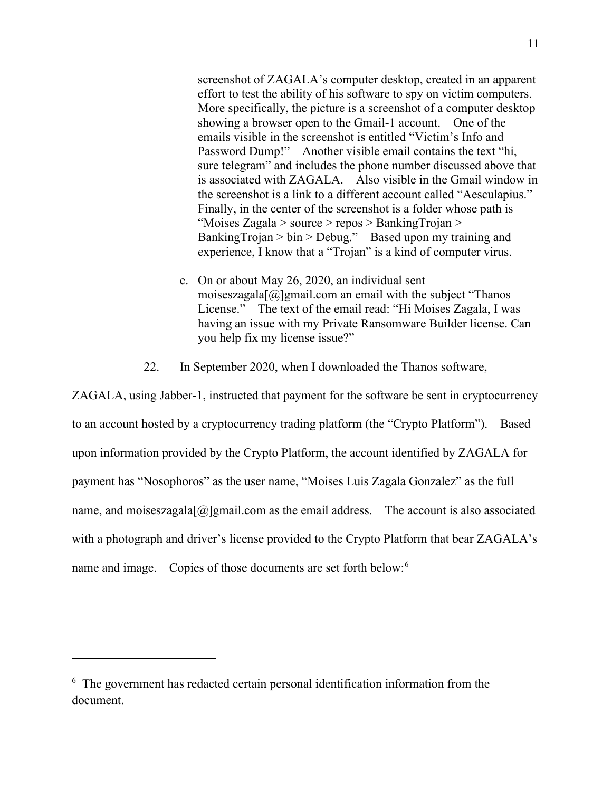screenshot of ZAGALA's computer desktop, created in an apparent effort to test the ability of his software to spy on victim computers. More specifically, the picture is a screenshot of a computer desktop showing a browser open to the Gmail-1 account. One of the emails visible in the screenshot is entitled "Victim's Info and Password Dump!" Another visible email contains the text "hi, sure telegram" and includes the phone number discussed above that is associated with ZAGALA. Also visible in the Gmail window in the screenshot is a link to a different account called "Aesculapius." Finally, in the center of the screenshot is a folder whose path is "Moises Zagala > source > repos > BankingTrojan > BankingTrojan > bin > Debug." Based upon my training and experience, I know that a "Trojan" is a kind of computer virus.

- c. On or about May 26, 2020, an individual sent moiseszagala $[@]$ gmail.com an email with the subject "Thanos" License." The text of the email read: "Hi Moises Zagala, I was having an issue with my Private Ransomware Builder license. Can you help fix my license issue?"
- 22. In September 2020, when I downloaded the Thanos software,

ZAGALA, using Jabber-1, instructed that payment for the software be sent in cryptocurrency to an account hosted by a cryptocurrency trading platform (the "Crypto Platform"). Based upon information provided by the Crypto Platform, the account identified by ZAGALA for payment has "Nosophoros" as the user name, "Moises Luis Zagala Gonzalez" as the full name, and moiseszagala $[@]$ gmail.com as the email address. The account is also associated with a photograph and driver's license provided to the Crypto Platform that bear ZAGALA's name and image. Copies of those documents are set forth below:<sup>[6](#page-10-0)</sup>

<span id="page-10-0"></span><sup>6</sup> The government has redacted certain personal identification information from the document.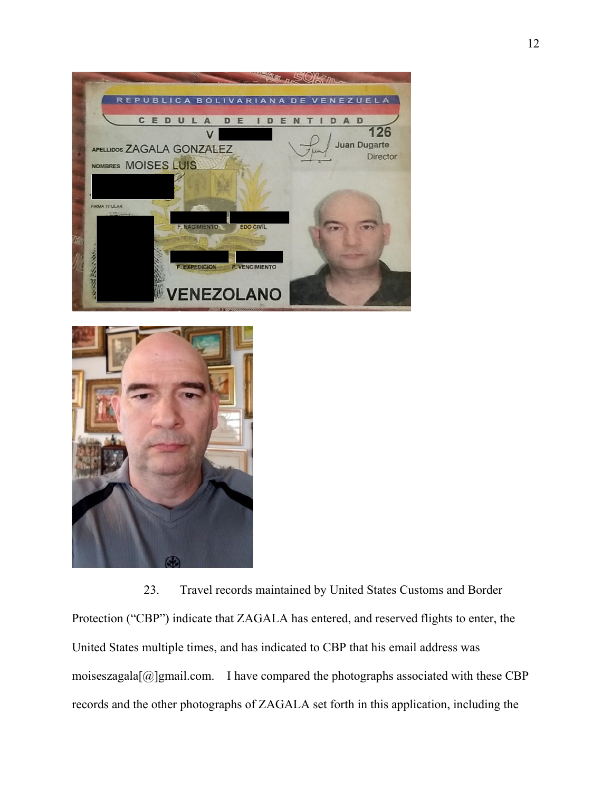



23. Travel records maintained by United States Customs and Border Protection ("CBP") indicate that ZAGALA has entered, and reserved flights to enter, the United States multiple times, and has indicated to CBP that his email address was moiseszagala $[\omega]$ gmail.com. I have compared the photographs associated with these CBP records and the other photographs of ZAGALA set forth in this application, including the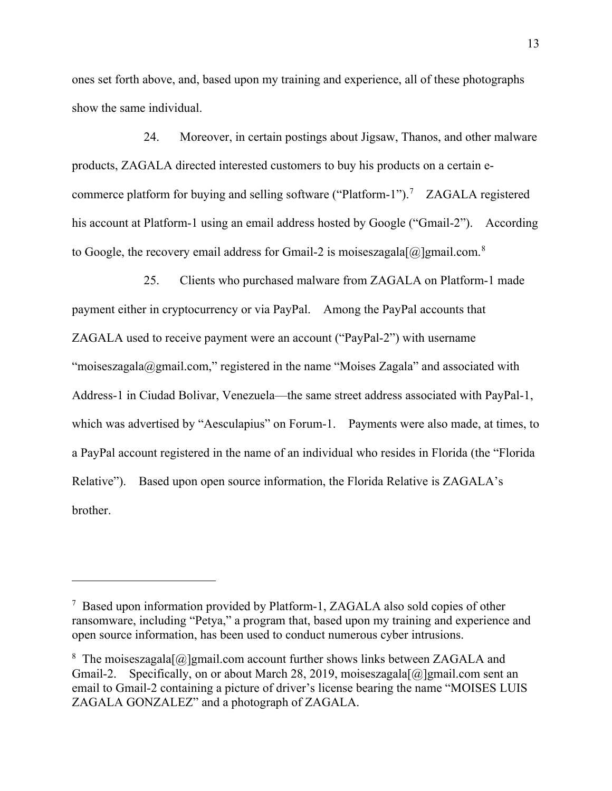ones set forth above, and, based upon my training and experience, all of these photographs show the same individual.

24. Moreover, in certain postings about Jigsaw, Thanos, and other malware products, ZAGALA directed interested customers to buy his products on a certain e-commerce platform for buying and selling software ("Platform-1").<sup>[7](#page-12-0)</sup> ZAGALA registered his account at Platform-1 using an email address hosted by Google ("Gmail-2"). According to Google, the recovery email address for Gmail-2 is moiseszagala $[@]$ gmail.com.<sup>[8](#page-12-1)</sup>

25. Clients who purchased malware from ZAGALA on Platform-1 made payment either in cryptocurrency or via PayPal. Among the PayPal accounts that ZAGALA used to receive payment were an account ("PayPal-2") with username "moiseszagala@gmail.com," registered in the name "Moises Zagala" and associated with Address-1 in Ciudad Bolivar, Venezuela—the same street address associated with PayPal-1, which was advertised by "Aesculapius" on Forum-1. Payments were also made, at times, to a PayPal account registered in the name of an individual who resides in Florida (the "Florida Relative"). Based upon open source information, the Florida Relative is ZAGALA's brother.

<span id="page-12-0"></span><sup>7</sup> Based upon information provided by Platform-1, ZAGALA also sold copies of other ransomware, including "Petya," a program that, based upon my training and experience and open source information, has been used to conduct numerous cyber intrusions.

<span id="page-12-1"></span><sup>&</sup>lt;sup>8</sup> The moiseszagala $[\textcircled{a}]$ gmail.com account further shows links between ZAGALA and Gmail-2. Specifically, on or about March 28, 2019, moiseszagala $[\omega]$ gmail.com sent an email to Gmail-2 containing a picture of driver's license bearing the name "MOISES LUIS ZAGALA GONZALEZ" and a photograph of ZAGALA.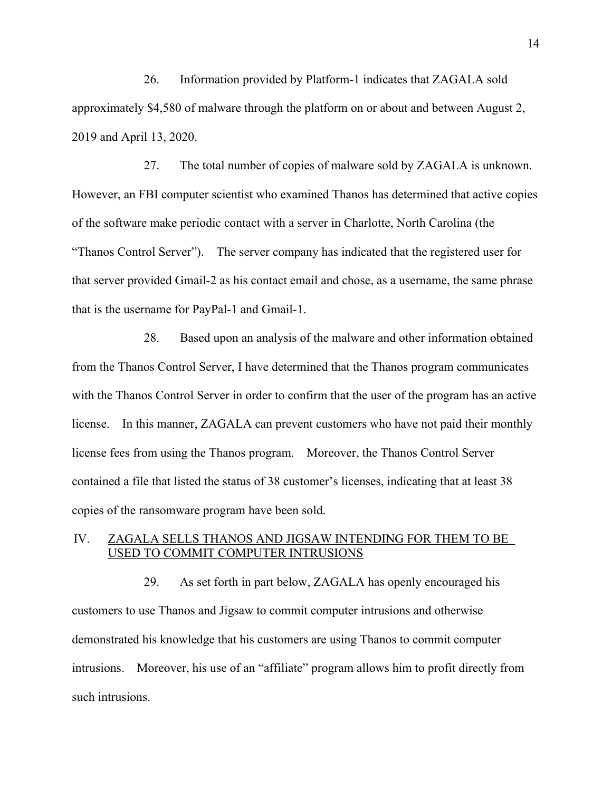26. Information provided by Platform-1 indicates that ZAGALA sold approximately \$4,580 of malware through the platform on or about and between August 2, 2019 and April 13, 2020.

27. The total number of copies of malware sold by ZAGALA is unknown. However, an FBI computer scientist who examined Thanos has determined that active copies of the software make periodic contact with a server in Charlotte, North Carolina (the "Thanos Control Server"). The server company has indicated that the registered user for that server provided Gmail-2 as his contact email and chose, as a username, the same phrase that is the username for PayPal-1 and Gmail-1.

28. Based upon an analysis of the malware and other information obtained from the Thanos Control Server, I have determined that the Thanos program communicates with the Thanos Control Server in order to confirm that the user of the program has an active license. In this manner, ZAGALA can prevent customers who have not paid their monthly license fees from using the Thanos program. Moreover, the Thanos Control Server contained a file that listed the status of 38 customer's licenses, indicating that at least 38 copies of the ransomware program have been sold.

## IV. ZAGALA SELLS THANOS AND JIGSAW INTENDING FOR THEM TO BE USED TO COMMIT COMPUTER INTRUSIONS

29. As set forth in part below, ZAGALA has openly encouraged his customers to use Thanos and Jigsaw to commit computer intrusions and otherwise demonstrated his knowledge that his customers are using Thanos to commit computer intrusions. Moreover, his use of an "affiliate" program allows him to profit directly from such intrusions.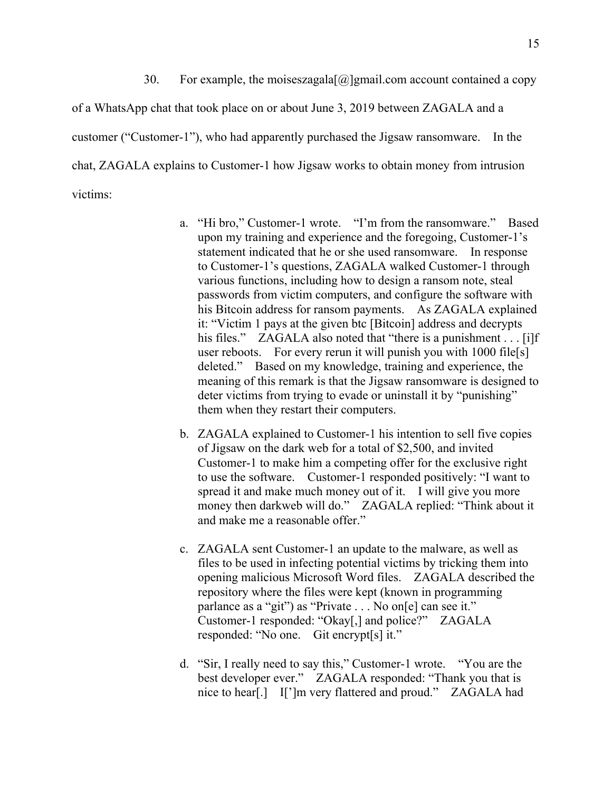30. For example, the moiseszagala $[@]$ gmail.com account contained a copy of a WhatsApp chat that took place on or about June 3, 2019 between ZAGALA and a customer ("Customer-1"), who had apparently purchased the Jigsaw ransomware. In the chat, ZAGALA explains to Customer-1 how Jigsaw works to obtain money from intrusion victims:

- a. "Hi bro," Customer-1 wrote. "I'm from the ransomware." Based upon my training and experience and the foregoing, Customer-1's statement indicated that he or she used ransomware. In response to Customer-1's questions, ZAGALA walked Customer-1 through various functions, including how to design a ransom note, steal passwords from victim computers, and configure the software with his Bitcoin address for ransom payments. As ZAGALA explained it: "Victim 1 pays at the given btc [Bitcoin] address and decrypts his files." ZAGALA also noted that "there is a punishment . . . [i]f user reboots. For every rerun it will punish you with 1000 file[s] deleted." Based on my knowledge, training and experience, the meaning of this remark is that the Jigsaw ransomware is designed to deter victims from trying to evade or uninstall it by "punishing" them when they restart their computers.
- b. ZAGALA explained to Customer-1 his intention to sell five copies of Jigsaw on the dark web for a total of \$2,500, and invited Customer-1 to make him a competing offer for the exclusive right to use the software. Customer-1 responded positively: "I want to spread it and make much money out of it. I will give you more money then darkweb will do." ZAGALA replied: "Think about it and make me a reasonable offer."
- c. ZAGALA sent Customer-1 an update to the malware, as well as files to be used in infecting potential victims by tricking them into opening malicious Microsoft Word files. ZAGALA described the repository where the files were kept (known in programming parlance as a "git") as "Private . . . No on[e] can see it." Customer-1 responded: "Okay[,] and police?" ZAGALA responded: "No one. Git encrypt[s] it."
- d. "Sir, I really need to say this," Customer-1 wrote. "You are the best developer ever." ZAGALA responded: "Thank you that is nice to hear[.] I[']m very flattered and proud." ZAGALA had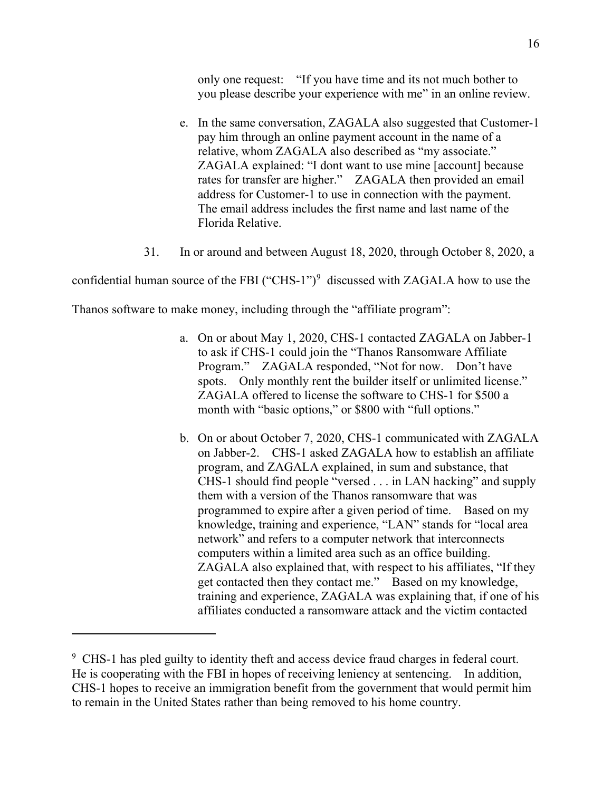only one request: "If you have time and its not much bother to you please describe your experience with me" in an online review.

- e. In the same conversation, ZAGALA also suggested that Customer-1 pay him through an online payment account in the name of a relative, whom ZAGALA also described as "my associate." ZAGALA explained: "I dont want to use mine [account] because rates for transfer are higher." ZAGALA then provided an email address for Customer-1 to use in connection with the payment. The email address includes the first name and last name of the Florida Relative.
- 31. In or around and between August 18, 2020, through October 8, 2020, a

confidential human source of the FBI ("CHS-1") $9$  discussed with ZAGALA how to use the

Thanos software to make money, including through the "affiliate program":

- a. On or about May 1, 2020, CHS-1 contacted ZAGALA on Jabber-1 to ask if CHS-1 could join the "Thanos Ransomware Affiliate Program." ZAGALA responded, "Not for now. Don't have spots. Only monthly rent the builder itself or unlimited license." ZAGALA offered to license the software to CHS-1 for \$500 a month with "basic options," or \$800 with "full options."
- b. On or about October 7, 2020, CHS-1 communicated with ZAGALA on Jabber-2. CHS-1 asked ZAGALA how to establish an affiliate program, and ZAGALA explained, in sum and substance, that CHS-1 should find people "versed . . . in LAN hacking" and supply them with a version of the Thanos ransomware that was programmed to expire after a given period of time. Based on my knowledge, training and experience, "LAN" stands for "local area network" and refers to a computer network that interconnects computers within a limited area such as an office building. ZAGALA also explained that, with respect to his affiliates, "If they get contacted then they contact me." Based on my knowledge, training and experience, ZAGALA was explaining that, if one of his affiliates conducted a ransomware attack and the victim contacted

<span id="page-15-0"></span><sup>&</sup>lt;sup>9</sup> CHS-1 has pled guilty to identity theft and access device fraud charges in federal court. He is cooperating with the FBI in hopes of receiving leniency at sentencing. In addition, CHS-1 hopes to receive an immigration benefit from the government that would permit him to remain in the United States rather than being removed to his home country.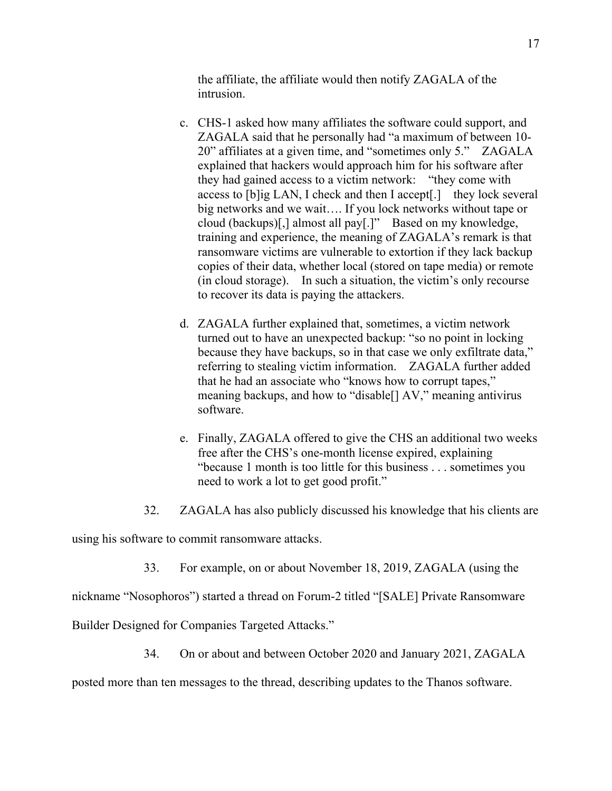the affiliate, the affiliate would then notify ZAGALA of the intrusion.

- c. CHS-1 asked how many affiliates the software could support, and ZAGALA said that he personally had "a maximum of between 10- 20" affiliates at a given time, and "sometimes only 5." ZAGALA explained that hackers would approach him for his software after they had gained access to a victim network: "they come with access to [b]ig LAN, I check and then I accept[.] they lock several big networks and we wait…. If you lock networks without tape or cloud (backups)[,] almost all pay[.]" Based on my knowledge, training and experience, the meaning of ZAGALA's remark is that ransomware victims are vulnerable to extortion if they lack backup copies of their data, whether local (stored on tape media) or remote (in cloud storage). In such a situation, the victim's only recourse to recover its data is paying the attackers.
- d. ZAGALA further explained that, sometimes, a victim network turned out to have an unexpected backup: "so no point in locking because they have backups, so in that case we only exfiltrate data," referring to stealing victim information. ZAGALA further added that he had an associate who "knows how to corrupt tapes," meaning backups, and how to "disable[] AV," meaning antivirus software.
- e. Finally, ZAGALA offered to give the CHS an additional two weeks free after the CHS's one-month license expired, explaining "because 1 month is too little for this business . . . sometimes you need to work a lot to get good profit."
- 32. ZAGALA has also publicly discussed his knowledge that his clients are

using his software to commit ransomware attacks.

33. For example, on or about November 18, 2019, ZAGALA (using the

nickname "Nosophoros") started a thread on Forum-2 titled "[SALE] Private Ransomware

Builder Designed for Companies Targeted Attacks."

34. On or about and between October 2020 and January 2021, ZAGALA

posted more than ten messages to the thread, describing updates to the Thanos software.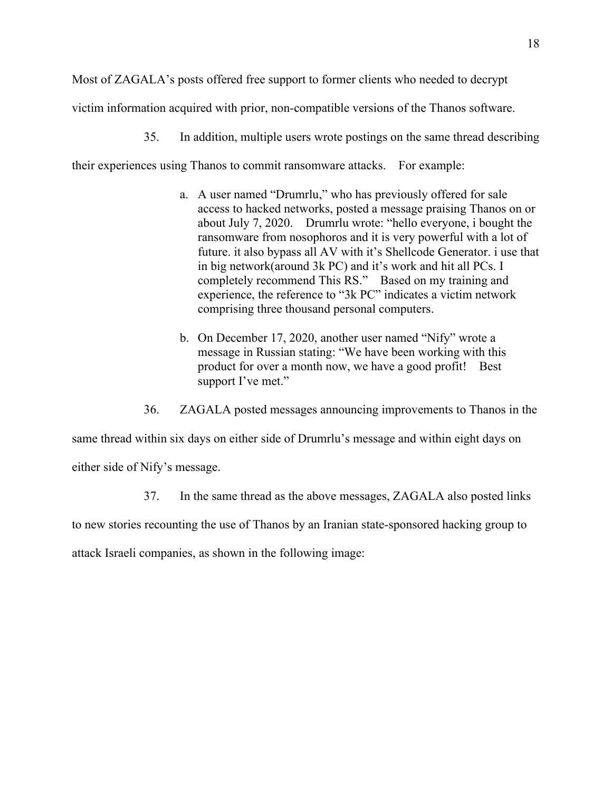Most of ZAGALA's posts offered free support to former clients who needed to decrypt victim information acquired with prior, non-compatible versions of the Thanos software.

35. In addition, multiple users wrote postings on the same thread describing

their experiences using Thanos to commit ransomware attacks. For example:

- a. A user named "Drumrlu," who has previously offered for sale access to hacked networks, posted a message praising Thanos on or about July 7, 2020. Drumrlu wrote: "hello everyone, i bought the ransomware from nosophoros and it is very powerful with a lot of future. it also bypass all AV with it's Shellcode Generator. i use that in big network(around 3k PC) and it's work and hit all PCs. I completely recommend This RS." Based on my training and experience, the reference to "3k PC" indicates a victim network comprising three thousand personal computers.
- b. On December 17, 2020, another user named "Nify" wrote a message in Russian stating: "We have been working with this product for over a month now, we have a good profit! Best support I've met."
- 36. ZAGALA posted messages announcing improvements to Thanos in the

same thread within six days on either side of Drumrlu's message and within eight days on either side of Nify's message.

37. In the same thread as the above messages, ZAGALA also posted links

to new stories recounting the use of Thanos by an Iranian state-sponsored hacking group to

attack Israeli companies, as shown in the following image: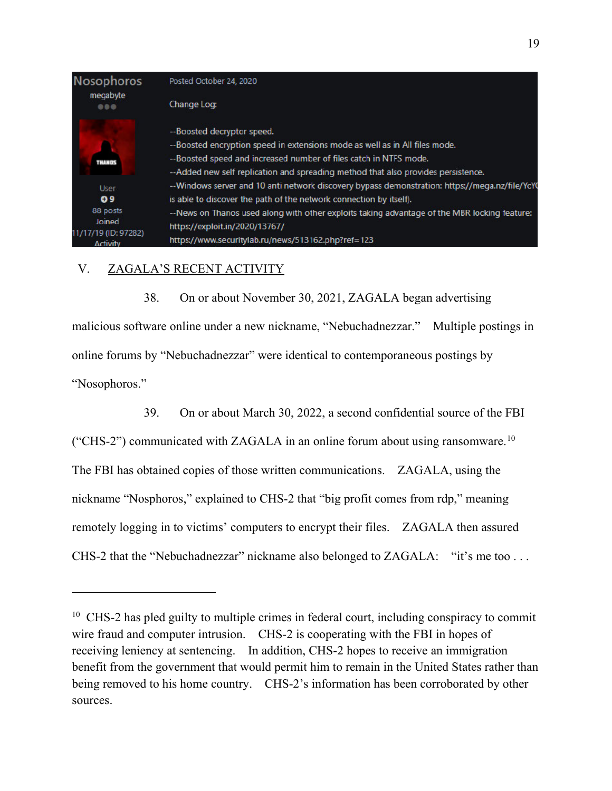

## V. ZAGALA'S RECENT ACTIVITY

38. On or about November 30, 2021, ZAGALA began advertising malicious software online under a new nickname, "Nebuchadnezzar." Multiple postings in online forums by "Nebuchadnezzar" were identical to contemporaneous postings by "Nosophoros."

39. On or about March 30, 2022, a second confidential source of the FBI ("CHS-2") communicated with ZAGALA in an online forum about using ransomware.<sup>10</sup> The FBI has obtained copies of those written communications. ZAGALA, using the nickname "Nosphoros," explained to CHS-2 that "big profit comes from rdp," meaning remotely logging in to victims' computers to encrypt their files. ZAGALA then assured CHS-2 that the "Nebuchadnezzar" nickname also belonged to ZAGALA: "it's me too ...

<span id="page-18-0"></span><sup>&</sup>lt;sup>10</sup> CHS-2 has pled guilty to multiple crimes in federal court, including conspiracy to commit wire fraud and computer intrusion. CHS-2 is cooperating with the FBI in hopes of receiving leniency at sentencing. In addition, CHS-2 hopes to receive an immigration benefit from the government that would permit him to remain in the United States rather than being removed to his home country. CHS-2's information has been corroborated by other sources.